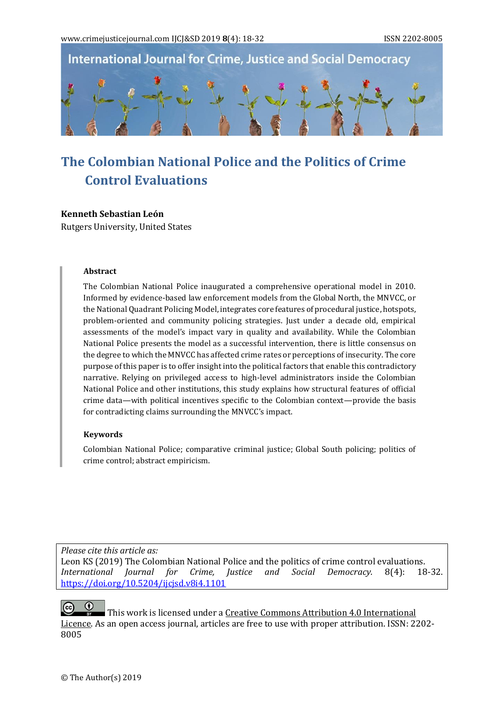**International Journal for Crime, Justice and Social Democracy** 



# **The Colombian National Police and the Politics of Crime Control Evaluations**

## **Kenneth Sebastian León**

Rutgers University, United States

#### **Abstract**

The Colombian National Police inaugurated a comprehensive operational model in 2010. Informed by evidence-based law enforcement models from the Global North, the MNVCC, or the National Quadrant Policing Model, integrates core features of procedural justice, hotspots, problem-oriented and community policing strategies. Just under a decade old, empirical assessments of the model's impact vary in quality and availability. While the Colombian National Police presents the model as a successful intervention, there is little consensus on the degree to which the MNVCC has affected crime rates or perceptions of insecurity. The core purpose of this paper is to offer insight into the political factors that enable this contradictory narrative. Relying on privileged access to high-level administrators inside the Colombian National Police and other institutions, this study explains how structural features of official crime data—with political incentives specific to the Colombian context—provide the basis for contradicting claims surrounding the MNVCC's impact.

## **Keywords**

Colombian National Police; comparative criminal justice; Global South policing; politics of crime control; abstract empiricism.

*Please cite this article as:*

Leon KS (2019) The Colombian National Police and the politics of crime control evaluations. *International Journal for Crime, Justice and Social Democracy.* 8(4): 18-32. <https://doi.org/10.5204/ijcjsd.v8i4.1101>

 $(cc)$ This work is licensed under [a Creative Commons Attribution 4.0 International](https://creativecommons.org/licenses/by/4.0/)  [Licence.](https://creativecommons.org/licenses/by/4.0/) As an open access journal, articles are free to use with proper attribution. ISSN: 2202- 8005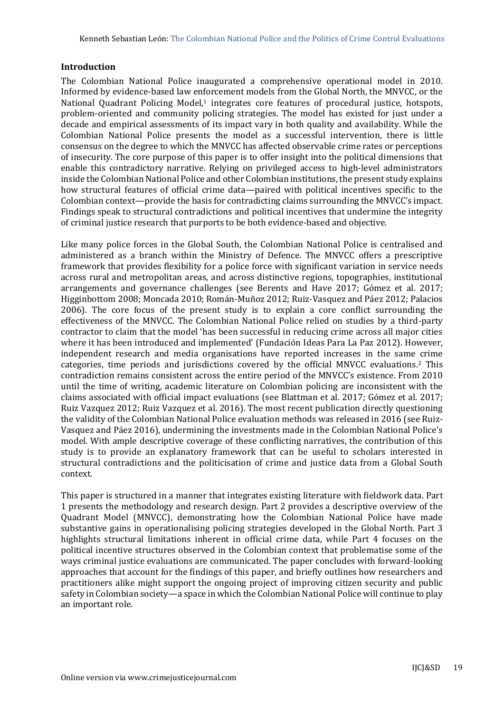# **Introduction**

The Colombian National Police inaugurated a comprehensive operational model in 2010. Informed by evidence-based law enforcement models from the Global North, the MNVCC, or the National Quadrant Policing Model,<sup>1</sup> integrates core features of procedural justice, hotspots, problem-oriented and community policing strategies. The model has existed for just under a decade and empirical assessments of its impact vary in both quality and availability. While the Colombian National Police presents the model as a successful intervention, there is little consensus on the degree to which the MNVCC has affected observable crime rates or perceptions of insecurity. The core purpose of this paper is to offer insight into the political dimensions that enable this contradictory narrative. Relying on privileged access to high-level administrators inside the Colombian National Police and other Colombian institutions, the present study explains how structural features of official crime data—paired with political incentives specific to the Colombian context—provide the basis for contradicting claims surrounding the MNVCC's impact. Findings speak to structural contradictions and political incentives that undermine the integrity of criminal justice research that purports to be both evidence-based and objective.

Like many police forces in the Global South, the Colombian National Police is centralised and administered as a branch within the Ministry of Defence. The MNVCC offers a prescriptive framework that provides flexibility for a police force with significant variation in service needs across rural and metropolitan areas, and across distinctive regions, topographies, institutional arrangements and governance challenges (see Berents and Have 2017; Gómez et al. 2017; Higginbottom 2008; Moncada 2010; Román-Muñoz 2012; Ruiz-Vasquez and Páez 2012; Palacios 2006). The core focus of the present study is to explain a core conflict surrounding the effectiveness of the MNVCC. The Colombian National Police relied on studies by a third-party contractor to claim that the model 'has been successful in reducing crime across all major cities where it has been introduced and implemented' (Fundación Ideas Para La Paz 2012). However, independent research and media organisations have reported increases in the same crime categories, time periods and jurisdictions covered by the official MNVCC evaluations.<sup>2</sup> This contradiction remains consistent across the entire period of the MNVCC's existence. From 2010 until the time of writing, academic literature on Colombian policing are inconsistent with the claims associated with official impact evaluations (see Blattman et al. 2017; Gómez et al. 2017; Ruiz Vazquez 2012; Ruiz Vazquez et al. 2016). The most recent publication directly questioning the validity of the Colombian National Police evaluation methods was released in 2016 (see Ruiz-Vasquez and Páez 2016), undermining the investments made in the Colombian National Police's model. With ample descriptive coverage of these conflicting narratives, the contribution of this study is to provide an explanatory framework that can be useful to scholars interested in structural contradictions and the politicisation of crime and justice data from a Global South context.

This paper is structured in a manner that integrates existing literature with fieldwork data. Part 1 presents the methodology and research design. Part 2 provides a descriptive overview of the Quadrant Model (MNVCC), demonstrating how the Colombian National Police have made substantive gains in operationalising policing strategies developed in the Global North. Part 3 highlights structural limitations inherent in official crime data, while Part 4 focuses on the political incentive structures observed in the Colombian context that problematise some of the ways criminal justice evaluations are communicated. The paper concludes with forward-looking approaches that account for the findings of this paper, and briefly outlines how researchers and practitioners alike might support the ongoing project of improving citizen security and public safety in Colombian society—a space in which the Colombian National Police will continue to play an important role.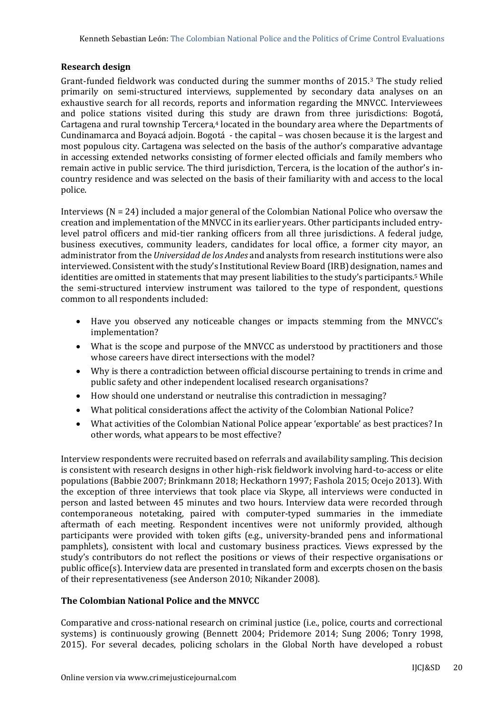# **Research design**

Grant-funded fieldwork was conducted during the summer months of 2015.<sup>3</sup> The study relied primarily on semi-structured interviews, supplemented by secondary data analyses on an exhaustive search for all records, reports and information regarding the MNVCC. Interviewees and police stations visited during this study are drawn from three jurisdictions: Bogotá, Cartagena and rural township Tercera*,* <sup>4</sup> located in the boundary area where the Departments of Cundinamarca and Boyacá adjoin. Bogotá - the capital – was chosen because it is the largest and most populous city. Cartagena was selected on the basis of the author's comparative advantage in accessing extended networks consisting of former elected officials and family members who remain active in public service. The third jurisdiction, Tercera, is the location of the author's incountry residence and was selected on the basis of their familiarity with and access to the local police.

Interviews  $(N = 24)$  included a major general of the Colombian National Police who oversaw the creation and implementation of the MNVCC in its earlier years. Other participants included entrylevel patrol officers and mid-tier ranking officers from all three jurisdictions. A federal judge, business executives, community leaders, candidates for local office, a former city mayor, an administrator from the *Universidad de los Andes* and analysts from research institutions were also interviewed. Consistent with the study's Institutional Review Board (IRB) designation, names and identities are omitted in statements that may present liabilities to the study's participants.<sup>5</sup> While the semi-structured interview instrument was tailored to the type of respondent, questions common to all respondents included:

- Have you observed any noticeable changes or impacts stemming from the MNVCC's implementation?
- What is the scope and purpose of the MNVCC as understood by practitioners and those whose careers have direct intersections with the model?
- Why is there a contradiction between official discourse pertaining to trends in crime and public safety and other independent localised research organisations?
- How should one understand or neutralise this contradiction in messaging?
- What political considerations affect the activity of the Colombian National Police?
- What activities of the Colombian National Police appear 'exportable' as best practices? In other words, what appears to be most effective?

Interview respondents were recruited based on referrals and availability sampling. This decision is consistent with research designs in other high-risk fieldwork involving hard-to-access or elite populations (Babbie 2007; Brinkmann 2018; Heckathorn 1997; Fashola 2015; Ocejo 2013). With the exception of three interviews that took place via Skype, all interviews were conducted in person and lasted between 45 minutes and two hours. Interview data were recorded through contemporaneous notetaking, paired with computer-typed summaries in the immediate aftermath of each meeting. Respondent incentives were not uniformly provided, although participants were provided with token gifts (e.g., university-branded pens and informational pamphlets), consistent with local and customary business practices. Views expressed by the study's contributors do not reflect the positions or views of their respective organisations or public office(s). Interview data are presented in translated form and excerpts chosen on the basis of their representativeness (see Anderson 2010; Nikander 2008).

## **The Colombian National Police and the MNVCC**

Comparative and cross-national research on criminal justice (i.e., police, courts and correctional systems) is continuously growing (Bennett 2004; Pridemore 2014; Sung 2006; Tonry 1998, 2015). For several decades, policing scholars in the Global North have developed a robust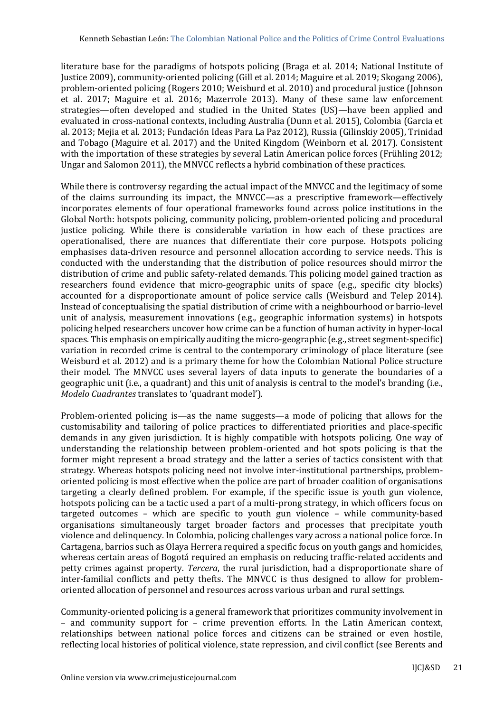literature base for the paradigms of hotspots policing (Braga et al. 2014; National Institute of Justice 2009), community-oriented policing (Gill et al. 2014; Maguire et al. 2019; Skogang 2006), problem-oriented policing (Rogers 2010; Weisburd et al. 2010) and procedural justice (Johnson et al. 2017; Maguire et al. 2016; Mazerrole 2013). Many of these same law enforcement strategies—often developed and studied in the United States (US)—have been applied and evaluated in cross-national contexts, including Australia (Dunn et al. 2015), Colombia (Garcia et al. 2013; Mejia et al. 2013; Fundación Ideas Para La Paz 2012), Russia (Gilinskiy 2005), Trinidad and Tobago (Maguire et al. 2017) and the United Kingdom (Weinborn et al. 2017). Consistent with the importation of these strategies by several Latin American police forces (Frühling 2012; Ungar and Salomon 2011), the MNVCC reflects a hybrid combination of these practices.

While there is controversy regarding the actual impact of the MNVCC and the legitimacy of some of the claims surrounding its impact, the MNVCC—as a prescriptive framework—effectively incorporates elements of four operational frameworks found across police institutions in the Global North: hotspots policing, community policing, problem-oriented policing and procedural justice policing. While there is considerable variation in how each of these practices are operationalised, there are nuances that differentiate their core purpose. Hotspots policing emphasises data-driven resource and personnel allocation according to service needs. This is conducted with the understanding that the distribution of police resources should mirror the distribution of crime and public safety-related demands. This policing model gained traction as researchers found evidence that micro-geographic units of space (e.g., specific city blocks) accounted for a disproportionate amount of police service calls (Weisburd and Telep 2014). Instead of conceptualising the spatial distribution of crime with a neighbourhood or barrio-level unit of analysis, measurement innovations (e.g., geographic information systems) in hotspots policing helped researchers uncover how crime can be a function of human activity in hyper-local spaces. This emphasis on empirically auditing the micro-geographic (e.g., street segment-specific) variation in recorded crime is central to the contemporary criminology of place literature (see Weisburd et al. 2012) and is a primary theme for how the Colombian National Police structure their model. The MNVCC uses several layers of data inputs to generate the boundaries of a geographic unit (i.e., a quadrant) and this unit of analysis is central to the model's branding (i.e., *Modelo Cuadrantes* translates to 'quadrant model').

Problem-oriented policing is—as the name suggests—a mode of policing that allows for the customisability and tailoring of police practices to differentiated priorities and place-specific demands in any given jurisdiction. It is highly compatible with hotspots policing. One way of understanding the relationship between problem-oriented and hot spots policing is that the former might represent a broad strategy and the latter a series of tactics consistent with that strategy. Whereas hotspots policing need not involve inter-institutional partnerships, problemoriented policing is most effective when the police are part of broader coalition of organisations targeting a clearly defined problem. For example, if the specific issue is youth gun violence, hotspots policing can be a tactic used a part of a multi-prong strategy, in which officers focus on targeted outcomes – which are specific to youth gun violence – while community-based organisations simultaneously target broader factors and processes that precipitate youth violence and delinquency. In Colombia, policing challenges vary across a national police force. In Cartagena, barrios such as Olaya Herrera required a specific focus on youth gangs and homicides, whereas certain areas of Bogotá required an emphasis on reducing traffic-related accidents and petty crimes against property. *Tercera*, the rural jurisdiction, had a disproportionate share of inter-familial conflicts and petty thefts. The MNVCC is thus designed to allow for problemoriented allocation of personnel and resources across various urban and rural settings.

Community-oriented policing is a general framework that prioritizes community involvement in – and community support for – crime prevention efforts. In the Latin American context, relationships between national police forces and citizens can be strained or even hostile, reflecting local histories of political violence, state repression, and civil conflict (see Berents and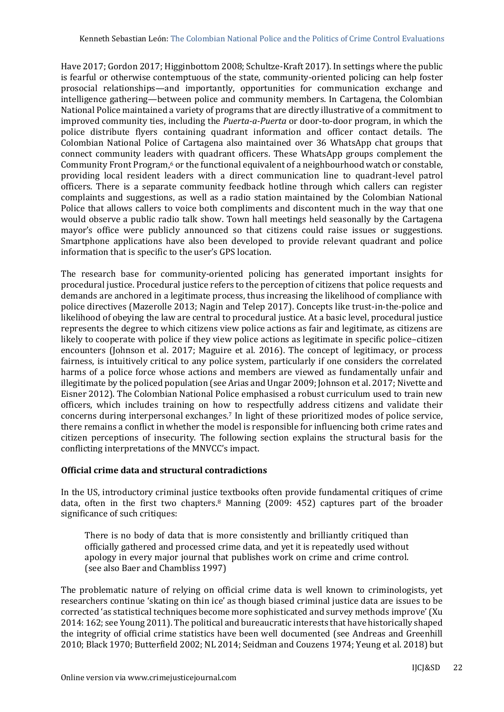Have 2017; Gordon 2017; Higginbottom 2008; Schultze-Kraft 2017). In settings where the public is fearful or otherwise contemptuous of the state, community-oriented policing can help foster prosocial relationships—and importantly, opportunities for communication exchange and intelligence gathering—between police and community members. In Cartagena, the Colombian National Police maintained a variety of programs that are directly illustrative of a commitment to improved community ties, including the *Puerta-a-Puerta* or door-to-door program, in which the police distribute flyers containing quadrant information and officer contact details. The Colombian National Police of Cartagena also maintained over 36 WhatsApp chat groups that connect community leaders with quadrant officers. These WhatsApp groups complement the Community Front Program,<sup>6</sup> or the functional equivalent of a neighbourhood watch or constable, providing local resident leaders with a direct communication line to quadrant-level patrol officers. There is a separate community feedback hotline through which callers can register complaints and suggestions, as well as a radio station maintained by the Colombian National Police that allows callers to voice both compliments and discontent much in the way that one would observe a public radio talk show. Town hall meetings held seasonally by the Cartagena mayor's office were publicly announced so that citizens could raise issues or suggestions. Smartphone applications have also been developed to provide relevant quadrant and police information that is specific to the user's GPS location.

The research base for community-oriented policing has generated important insights for procedural justice. Procedural justice refers to the perception of citizens that police requests and demands are anchored in a legitimate process, thus increasing the likelihood of compliance with police directives (Mazerolle 2013; Nagin and Telep 2017). Concepts like trust-in-the-police and likelihood of obeying the law are central to procedural justice. At a basic level, procedural justice represents the degree to which citizens view police actions as fair and legitimate, as citizens are likely to cooperate with police if they view police actions as legitimate in specific police–citizen encounters (Johnson et al. 2017; Maguire et al. 2016). The concept of legitimacy, or process fairness, is intuitively critical to any police system, particularly if one considers the correlated harms of a police force whose actions and members are viewed as fundamentally unfair and illegitimate by the policed population (see Arias and Ungar 2009; Johnson et al. 2017; Nivette and Eisner 2012). The Colombian National Police emphasised a robust curriculum used to train new officers, which includes training on how to respectfully address citizens and validate their concerns during interpersonal exchanges.<sup>7</sup> In light of these prioritized modes of police service, there remains a conflict in whether the model is responsible for influencing both crime rates and citizen perceptions of insecurity. The following section explains the structural basis for the conflicting interpretations of the MNVCC's impact.

## **Official crime data and structural contradictions**

In the US, introductory criminal justice textbooks often provide fundamental critiques of crime data, often in the first two chapters.<sup>8</sup> Manning (2009: 452) captures part of the broader significance of such critiques:

There is no body of data that is more consistently and brilliantly critiqued than officially gathered and processed crime data, and yet it is repeatedly used without apology in every major journal that publishes work on crime and crime control. (see also Baer and Chambliss 1997)

The problematic nature of relying on official crime data is well known to criminologists, yet researchers continue 'skating on thin ice' as though biased criminal justice data are issues to be corrected 'as statistical techniques become more sophisticated and survey methods improve' (Xu 2014: 162; see Young 2011). The political and bureaucratic interests that have historically shaped the integrity of official crime statistics have been well documented (see Andreas and Greenhill 2010; Black 1970; Butterfield 2002; NL 2014; Seidman and Couzens 1974; Yeung et al. 2018) but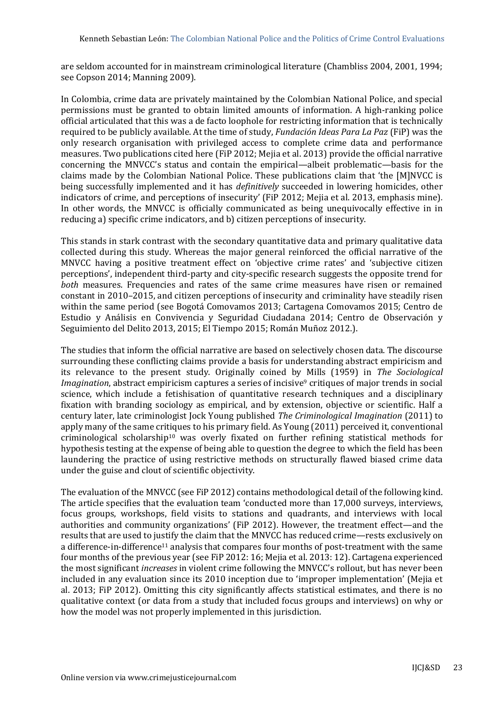are seldom accounted for in mainstream criminological literature (Chambliss 2004, 2001, 1994; see Copson 2014; Manning 2009).

In Colombia, crime data are privately maintained by the Colombian National Police, and special permissions must be granted to obtain limited amounts of information. A high-ranking police official articulated that this was a de facto loophole for restricting information that is technically required to be publicly available. At the time of study, *Fundación Ideas Para La Paz* (FiP) was the only research organisation with privileged access to complete crime data and performance measures. Two publications cited here (FiP 2012; Mejia et al. 2013) provide the official narrative concerning the MNVCC's status and contain the empirical—albeit problematic—basis for the claims made by the Colombian National Police. These publications claim that 'the [M]NVCC is being successfully implemented and it has *definitively* succeeded in lowering homicides, other indicators of crime, and perceptions of insecurity' (FiP 2012; Mejia et al. 2013, emphasis mine)*.*  In other words, the MNVCC is officially communicated as being unequivocally effective in in reducing a) specific crime indicators, and b) citizen perceptions of insecurity.

This stands in stark contrast with the secondary quantitative data and primary qualitative data collected during this study. Whereas the major general reinforced the official narrative of the MNVCC having a positive treatment effect on 'objective crime rates' and 'subjective citizen perceptions', independent third-party and city-specific research suggests the opposite trend for *both* measures. Frequencies and rates of the same crime measures have risen or remained constant in 2010–2015, and citizen perceptions of insecurity and criminality have steadily risen within the same period (see Bogotá Comovamos 2013; Cartagena Comovamos 2015; Centro de Estudio y Análisis en Convivencia y Seguridad Ciudadana 2014; Centro de Observación y Seguimiento del Delito 2013, 2015; El Tiempo 2015; Román Muñoz 2012.).

The studies that inform the official narrative are based on selectively chosen data. The discourse surrounding these conflicting claims provide a basis for understanding abstract empiricism and its relevance to the present study. Originally coined by Mills (1959) in *The Sociological Imagination*, abstract empiricism captures a series of incisive<sup>9</sup> critiques of major trends in social science, which include a fetishisation of quantitative research techniques and a disciplinary fixation with branding sociology as empirical, and by extension, objective or scientific. Half a century later, late criminologist Jock Young published *The Criminological Imagination* (2011) to apply many of the same critiques to his primary field. As Young (2011) perceived it, conventional criminological scholarship<sup>10</sup> was overly fixated on further refining statistical methods for hypothesis testing at the expense of being able to question the degree to which the field has been laundering the practice of using restrictive methods on structurally flawed biased crime data under the guise and clout of scientific objectivity.

The evaluation of the MNVCC (see FiP 2012) contains methodological detail of the following kind. The article specifies that the evaluation team 'conducted more than 17,000 surveys, interviews, focus groups, workshops, field visits to stations and quadrants, and interviews with local authorities and community organizations' (FiP 2012). However, the treatment effect—and the results that are used to justify the claim that the MNVCC has reduced crime—rests exclusively on a difference-in-difference<sup>11</sup> analysis that compares four months of post-treatment with the same four months of the previous year (see FiP 2012: 16; Mejia et al. 2013: 12). Cartagena experienced the most significant *increases* in violent crime following the MNVCC's rollout, but has never been included in any evaluation since its 2010 inception due to 'improper implementation' (Mejia et al. 2013; FiP 2012). Omitting this city significantly affects statistical estimates, and there is no qualitative context (or data from a study that included focus groups and interviews) on why or how the model was not properly implemented in this jurisdiction.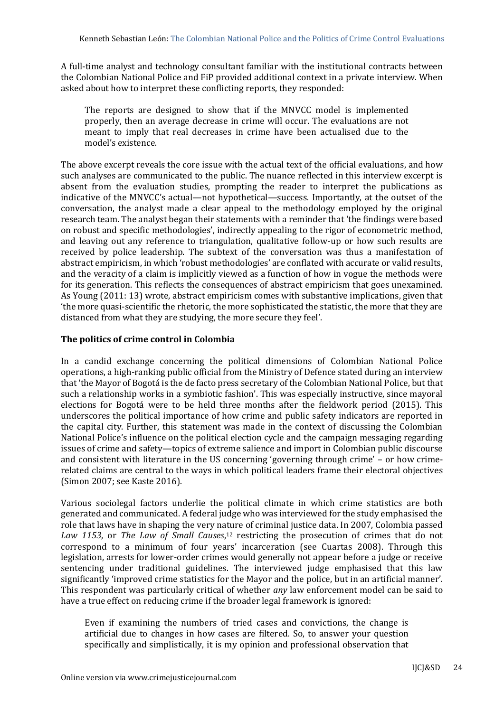A full-time analyst and technology consultant familiar with the institutional contracts between the Colombian National Police and FiP provided additional context in a private interview. When asked about how to interpret these conflicting reports, they responded:

The reports are designed to show that if the MNVCC model is implemented properly, then an average decrease in crime will occur. The evaluations are not meant to imply that real decreases in crime have been actualised due to the model's existence.

The above excerpt reveals the core issue with the actual text of the official evaluations, and how such analyses are communicated to the public. The nuance reflected in this interview excerpt is absent from the evaluation studies, prompting the reader to interpret the publications as indicative of the MNVCC's actual—not hypothetical—success. Importantly, at the outset of the conversation, the analyst made a clear appeal to the methodology employed by the original research team. The analyst began their statements with a reminder that 'the findings were based on robust and specific methodologies', indirectly appealing to the rigor of econometric method, and leaving out any reference to triangulation, qualitative follow-up or how such results are received by police leadership. The subtext of the conversation was thus a manifestation of abstract empiricism, in which 'robust methodologies' are conflated with accurate or valid results, and the veracity of a claim is implicitly viewed as a function of how in vogue the methods were for its generation. This reflects the consequences of abstract empiricism that goes unexamined. As Young (2011: 13) wrote, abstract empiricism comes with substantive implications, given that 'the more quasi-scientific the rhetoric, the more sophisticated the statistic, the more that they are distanced from what they are studying, the more secure they feel'.

# **The politics of crime control in Colombia**

In a candid exchange concerning the political dimensions of Colombian National Police operations, a high-ranking public official from the Ministry of Defence stated during an interview that 'the Mayor of Bogotá is the de facto press secretary of the Colombian National Police, but that such a relationship works in a symbiotic fashion'. This was especially instructive, since mayoral elections for Bogotá were to be held three months after the fieldwork period (2015). This underscores the political importance of how crime and public safety indicators are reported in the capital city. Further, this statement was made in the context of discussing the Colombian National Police's influence on the political election cycle and the campaign messaging regarding issues of crime and safety—topics of extreme salience and import in Colombian public discourse and consistent with literature in the US concerning 'governing through crime' – or how crimerelated claims are central to the ways in which political leaders frame their electoral objectives (Simon 2007; see Kaste 2016).

Various sociolegal factors underlie the political climate in which crime statistics are both generated and communicated. A federal judge who was interviewed for the study emphasised the role that laws have in shaping the very nature of criminal justice data. In 2007, Colombia passed Law 1153, or The Law of Small Causes,<sup>12</sup> restricting the prosecution of crimes that do not correspond to a minimum of four years' incarceration (see Cuartas 2008). Through this legislation, arrests for lower-order crimes would generally not appear before a judge or receive sentencing under traditional guidelines. The interviewed judge emphasised that this law significantly 'improved crime statistics for the Mayor and the police, but in an artificial manner'. This respondent was particularly critical of whether *any* law enforcement model can be said to have a true effect on reducing crime if the broader legal framework is ignored:

Even if examining the numbers of tried cases and convictions, the change is artificial due to changes in how cases are filtered. So, to answer your question specifically and simplistically, it is my opinion and professional observation that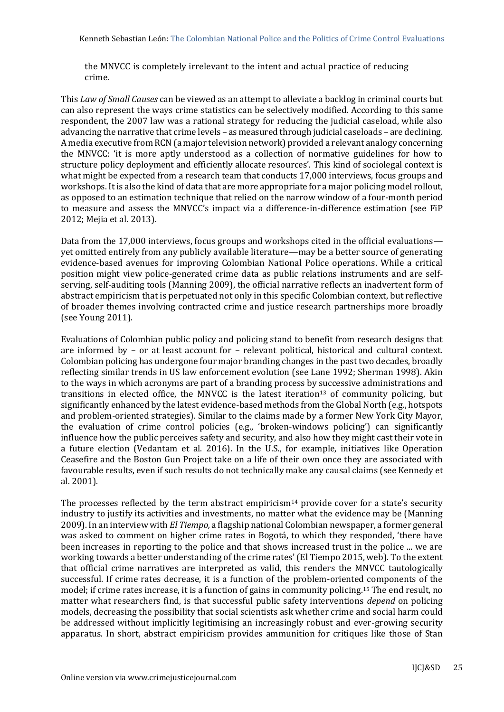the MNVCC is completely irrelevant to the intent and actual practice of reducing crime.

This *Law of Small Causes* can be viewed as an attempt to alleviate a backlog in criminal courts but can also represent the ways crime statistics can be selectively modified. According to this same respondent, the 2007 law was a rational strategy for reducing the judicial caseload, while also advancing the narrative that crime levels – as measured through judicial caseloads – are declining. A media executive from RCN (a major television network) provided a relevant analogy concerning the MNVCC: 'it is more aptly understood as a collection of normative guidelines for how to structure policy deployment and efficiently allocate resources'. This kind of sociolegal context is what might be expected from a research team that conducts 17,000 interviews, focus groups and workshops. It is also the kind of data that are more appropriate for a major policing model rollout, as opposed to an estimation technique that relied on the narrow window of a four-month period to measure and assess the MNVCC's impact via a difference-in-difference estimation (see FiP 2012; Mejia et al. 2013).

Data from the 17,000 interviews, focus groups and workshops cited in the official evaluations yet omitted entirely from any publicly available literature—may be a better source of generating evidence-based avenues for improving Colombian National Police operations. While a critical position might view police-generated crime data as public relations instruments and are selfserving, self-auditing tools (Manning 2009), the official narrative reflects an inadvertent form of abstract empiricism that is perpetuated not only in this specific Colombian context, but reflective of broader themes involving contracted crime and justice research partnerships more broadly (see Young 2011).

Evaluations of Colombian public policy and policing stand to benefit from research designs that are informed by – or at least account for – relevant political, historical and cultural context. Colombian policing has undergone four major branding changes in the past two decades, broadly reflecting similar trends in US law enforcement evolution (see Lane 1992; Sherman 1998). Akin to the ways in which acronyms are part of a branding process by successive administrations and transitions in elected office, the MNVCC is the latest iteration<sup>13</sup> of community policing, but significantly enhanced by the latest evidence-based methods from the Global North (e.g., hotspots and problem-oriented strategies). Similar to the claims made by a former New York City Mayor, the evaluation of crime control policies (e.g., 'broken-windows policing') can significantly influence how the public perceives safety and security, and also how they might cast their vote in a future election (Vedantam et al. 2016). In the U.S., for example, initiatives like Operation Ceasefire and the Boston Gun Project take on a life of their own once they are associated with favourable results, even if such results do not technically make any causal claims (see Kennedy et al. 2001).

The processes reflected by the term abstract empiricism<sup>14</sup> provide cover for a state's security industry to justify its activities and investments, no matter what the evidence may be (Manning 2009). In an interview with *El Tiempo,* a flagship national Colombian newspaper, a former general was asked to comment on higher crime rates in Bogotá, to which they responded, 'there have been increases in reporting to the police and that shows increased trust in the police ... we are working towards a better understanding of the crime rates' (El Tiempo 2015, web). To the extent that official crime narratives are interpreted as valid, this renders the MNVCC tautologically successful. If crime rates decrease, it is a function of the problem-oriented components of the model; if crime rates increase, it is a function of gains in community policing.<sup>15</sup> The end result, no matter what researchers find, is that successful public safety interventions *depend* on policing models, decreasing the possibility that social scientists ask whether crime and social harm could be addressed without implicitly legitimising an increasingly robust and ever-growing security apparatus. In short, abstract empiricism provides ammunition for critiques like those of Stan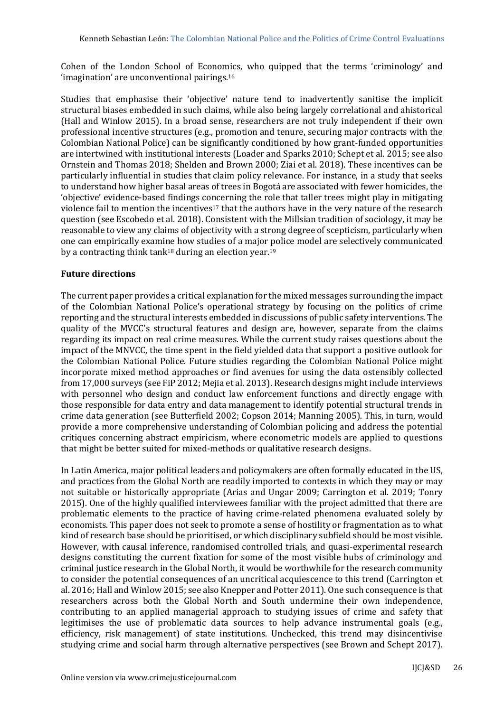Cohen of the London School of Economics, who quipped that the terms 'criminology' and 'imagination' are unconventional pairings.<sup>16</sup>

Studies that emphasise their 'objective' nature tend to inadvertently sanitise the implicit structural biases embedded in such claims, while also being largely correlational and ahistorical (Hall and Winlow 2015). In a broad sense, researchers are not truly independent if their own professional incentive structures (e.g., promotion and tenure, securing major contracts with the Colombian National Police) can be significantly conditioned by how grant-funded opportunities are intertwined with institutional interests (Loader and Sparks 2010; Schept et al. 2015; see also Ornstein and Thomas 2018; Shelden and Brown 2000; Ziai et al. 2018). These incentives can be particularly influential in studies that claim policy relevance. For instance, in a study that seeks to understand how higher basal areas of trees in Bogotá are associated with fewer homicides, the 'objective' evidence-based findings concerning the role that taller trees might play in mitigating violence fail to mention the incentives<sup>17</sup> that the authors have in the very nature of the research question (see Escobedo et al. 2018). Consistent with the Millsian tradition of sociology, it may be reasonable to view any claims of objectivity with a strong degree of scepticism, particularly when one can empirically examine how studies of a major police model are selectively communicated by a contracting think tank<sup>18</sup> during an election year.<sup>19</sup>

## **Future directions**

The current paper provides a critical explanation for the mixed messages surrounding the impact of the Colombian National Police's operational strategy by focusing on the politics of crime reporting and the structural interests embedded in discussions of public safety interventions. The quality of the MVCC's structural features and design are, however, separate from the claims regarding its impact on real crime measures. While the current study raises questions about the impact of the MNVCC, the time spent in the field yielded data that support a positive outlook for the Colombian National Police. Future studies regarding the Colombian National Police might incorporate mixed method approaches or find avenues for using the data ostensibly collected from 17,000 surveys (see FiP 2012; Mejia et al. 2013). Research designs might include interviews with personnel who design and conduct law enforcement functions and directly engage with those responsible for data entry and data management to identify potential structural trends in crime data generation (see Butterfield 2002; Copson 2014; Manning 2005). This, in turn, would provide a more comprehensive understanding of Colombian policing and address the potential critiques concerning abstract empiricism, where econometric models are applied to questions that might be better suited for mixed-methods or qualitative research designs.

In Latin America, major political leaders and policymakers are often formally educated in the US, and practices from the Global North are readily imported to contexts in which they may or may not suitable or historically appropriate (Arias and Ungar 2009; Carrington et al. 2019; Tonry 2015). One of the highly qualified interviewees familiar with the project admitted that there are problematic elements to the practice of having crime-related phenomena evaluated solely by economists. This paper does not seek to promote a sense of hostility or fragmentation as to what kind of research base should be prioritised, or which disciplinary subfield should be most visible. However, with causal inference, randomised controlled trials, and quasi-experimental research designs constituting the current fixation for some of the most visible hubs of criminology and criminal justice research in the Global North, it would be worthwhile for the research community to consider the potential consequences of an uncritical acquiescence to this trend (Carrington et al. 2016; Hall and Winlow 2015; see also Knepper and Potter 2011). One such consequence is that researchers across both the Global North and South undermine their own independence, contributing to an applied managerial approach to studying issues of crime and safety that legitimises the use of problematic data sources to help advance instrumental goals (e.g., efficiency, risk management) of state institutions. Unchecked, this trend may disincentivise studying crime and social harm through alternative perspectives (see Brown and Schept 2017).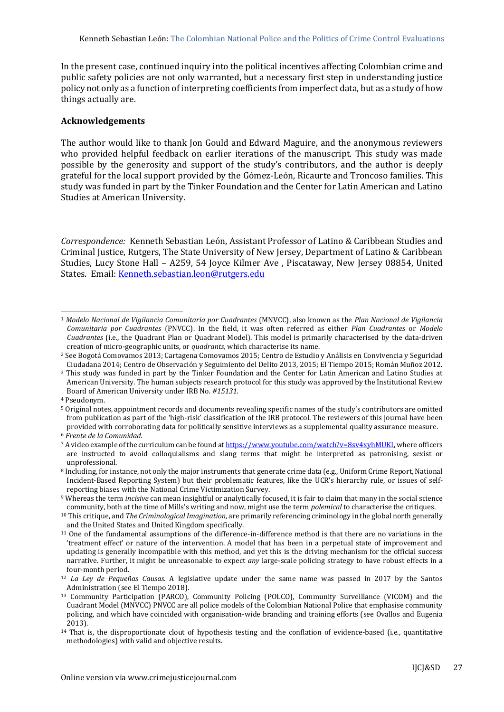In the present case, continued inquiry into the political incentives affecting Colombian crime and public safety policies are not only warranted, but a necessary first step in understanding justice policy not only as a function of interpreting coefficients from imperfect data, but as a study of how things actually are.

#### **Acknowledgements**

The author would like to thank Jon Gould and Edward Maguire, and the anonymous reviewers who provided helpful feedback on earlier iterations of the manuscript. This study was made possible by the generosity and support of the study's contributors, and the author is deeply grateful for the local support provided by the Gómez-León, Ricaurte and Troncoso families. This study was funded in part by the Tinker Foundation and the Center for Latin American and Latino Studies at American University.

*Correspondence:* Kenneth Sebastian León, Assistant Professor of Latino & Caribbean Studies and Criminal Justice, Rutgers, The State University of New Jersey, Department of Latino & Caribbean Studies, Lucy Stone Hall – A259, 54 Joyce Kilmer Ave , Piscataway, New Jersey 08854, United States. Email[: Kenneth.sebastian.leon@rutgers.edu](mailto:Kenneth.sebastian.leon@rutgers.edu)

<sup>1</sup> *Modelo Nacional de Vigilancia Comunitaria por Cuadrantes* (MNVCC), also known as the *Plan Nacional de Vigilancia Comunitaria por Cuadrantes* (PNVCC). In the field, it was often referred as either *Plan Cuadrantes* or *Modelo Cuadrantes* (i.e., the Quadrant Plan or Quadrant Model). This model is primarily characterised by the data-driven creation of micro-geographic units, or *quadrants,* which characterise its name.

<sup>2</sup> See Bogotá Comovamos 2013; Cartagena Comovamos 2015; Centro de Estudio y Análisis en Convivencia y Seguridad Ciudadana 2014; Centro de Observación y Seguimiento del Delito 2013, 2015; El Tiempo 2015; Román Muñoz 2012.

<sup>3</sup> This study was funded in part by the Tinker Foundation and the Center for Latin American and Latino Studies at American University. The human subjects research protocol for this study was approved by the Institutional Review Board of American University under IRB No*. #15131.*

<sup>4</sup> Pseudonym.

<sup>5</sup> Original notes, appointment records and documents revealing specific names of the study's contributors are omitted from publication as part of the 'high-risk' classification of the IRB protocol. The reviewers of this journal have been provided with corroborating data for politically sensitive interviews as a supplemental quality assurance measure.

<sup>6</sup> *Frente de la Comunidad.*

<sup>7</sup> A video example of the curriculum can be found a[t https://www.youtube.com/watch?v=8sv4xyhMUKI,](https://www.youtube.com/watch?v=8sv4xyhMUKI) where officers are instructed to avoid colloquialisms and slang terms that might be interpreted as patronising, sexist or unprofessional.

<sup>8</sup> Including, for instance, not only the major instruments that generate crime data (e.g., Uniform Crime Report, National Incident-Based Reporting System) but their problematic features, like the UCR's hierarchy rule, or issues of selfreporting biases with the National Crime Victimization Survey.

<sup>9</sup> Whereas the term *incisive* can mean insightful or analytically focused, it is fair to claim that many in the social science community, both at the time of Mills's writing and now, might use the term *polemical* to characterise the critiques.

<sup>10</sup> This critique, and *The Criminological Imagination,* are primarily referencing criminology in the global north generally and the United States and United Kingdom specifically.

<sup>11</sup> One of the fundamental assumptions of the difference-in-difference method is that there are no variations in the 'treatment effect' or nature of the intervention. A model that has been in a perpetual state of improvement and updating is generally incompatible with this method, and yet this is the driving mechanism for the official success narrative. Further, it might be unreasonable to expect *any* large-scale policing strategy to have robust effects in a four-month period.

<sup>12</sup> *La Ley de Pequeñas Causas.* A legislative update under the same name was passed in 2017 by the Santos Administration (see El Tiempo 2018).

<sup>13</sup> Community Participation (PARCO), Community Policing (POLCO), Community Surveillance (VICOM) and the Cuadrant Model (MNVCC) PNVCC are all police models of the Colombian National Police that emphasise community policing, and which have coincided with organisation-wide branding and training efforts (see Ovallos and Eugenia 2013).

<sup>14</sup> That is, the disproportionate clout of hypothesis testing and the conflation of evidence-based (i.e., quantitative methodologies) with valid and objective results.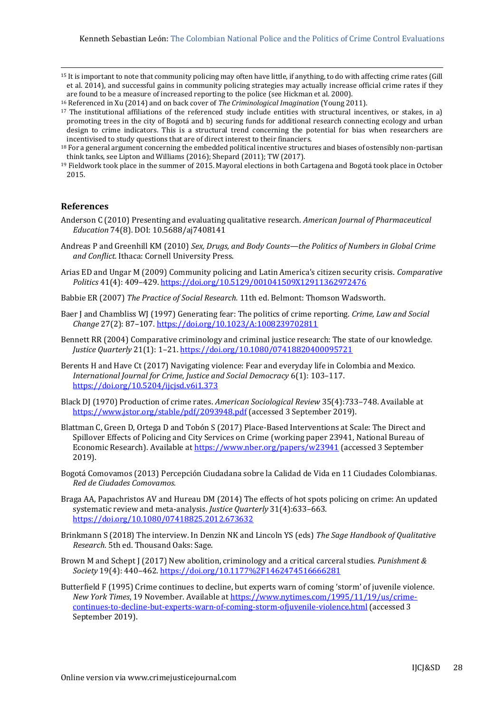<sup>15</sup> It is important to note that community policing may often have little, if anything, to do with affecting crime rates (Gill et al. 2014), and successful gains in community policing strategies may actually increase official crime rates if they are found to be a measure of increased reporting to the police (see Hickman et al. 2000).

<sup>16</sup> Referenced in Xu (2014) and on back cover of *The Criminological Imagination* (Young 2011).

<sup>17</sup> The institutional affiliations of the referenced study include entities with structural incentives, or stakes, in a) promoting trees in the city of Bogotá and b) securing funds for additional research connecting ecology and urban design to crime indicators. This is a structural trend concerning the potential for bias when researchers are incentivised to study questions that are of direct interest to their financiers.

<sup>19</sup> Fieldwork took place in the summer of 2015. Mayoral elections in both Cartagena and Bogotá took place in October 2015.

#### **References**

- Anderson C (2010) Presenting and evaluating qualitative research. *American Journal of Pharmaceutical Education* 74(8). DOI: 10.5688/aj7408141
- Andreas P and Greenhill KM (2010) *Sex, Drugs, and Body Counts—the Politics of Numbers in Global Crime and Conflict.* Ithaca: Cornell University Press.
- Arias ED and Ungar M (2009) Community policing and Latin America's citizen security crisis. *Comparative Politics* 41(4): 409–429.<https://doi.org/10.5129/001041509X12911362972476>
- Babbie ER (2007) *The Practice of Social Research.* 11th ed. Belmont: Thomson Wadsworth.
- Baer J and Chambliss WJ (1997) Generating fear: The politics of crime reporting. *Crime, Law and Social Change* 27(2): 87–107. <https://doi.org/10.1023/A:1008239702811>
- Bennett RR (2004) Comparative criminology and criminal justice research: The state of our knowledge. *Justice Quarterly* 21(1): 1–21. <https://doi.org/10.1080/07418820400095721>
- Berents H and Have Ct (2017) Navigating violence: Fear and everyday life in Colombia and Mexico. *International Journal for Crime, Justice and Social Democracy* 6(1): 103–117. <https://doi.org/10.5204/ijcjsd.v6i1.373>
- Black DJ (1970) Production of crime rates. *American Sociological Review* 35(4):733–748. Available at <https://www.jstor.org/stable/pdf/2093948.pdf> (accessed 3 September 2019).
- Blattman C, Green D, Ortega D and Tobón S (2017) Place-Based Interventions at Scale: The Direct and Spillover Effects of Policing and City Services on Crime (working paper 23941, National Bureau of Economic Research). Available at<https://www.nber.org/papers/w23941> (accessed 3 September 2019).
- Bogotá Comovamos (2013) Percepción Ciudadana sobre la Calidad de Vida en 11 Ciudades Colombianas. *Red de Ciudades Comovamos.*
- Braga AA, Papachristos AV and Hureau DM (2014) The effects of hot spots policing on crime: An updated systematic review and meta-analysis. *Justice Quarterly* 31(4):633–663. <https://doi.org/10.1080/07418825.2012.673632>
- Brinkmann S (2018) The interview. In Denzin NK and Lincoln YS (eds) *The Sage Handbook of Qualitative Research.* 5th ed. Thousand Oaks: Sage.
- Brown M and Schept J (2017) New abolition, criminology and a critical carceral studies. *Punishment & Society* 19(4): 440–462. <https://doi.org/10.1177%2F1462474516666281>
- Butterfield F (1995) Crime continues to decline, but experts warn of coming 'storm' of juvenile violence. *New York Times*, 19 November. Available a[t https://www.nytimes.com/1995/11/19/us/crime](https://www.nytimes.com/1995/11/19/us/crime-continues-to-decline-but-experts-warn-of-coming-storm-ofjuvenile-violence.html)[continues-to-decline-but-experts-warn-of-coming-storm-ofjuvenile-violence.html](https://www.nytimes.com/1995/11/19/us/crime-continues-to-decline-but-experts-warn-of-coming-storm-ofjuvenile-violence.html) (accessed 3 September 2019).

<sup>&</sup>lt;sup>18</sup> For a general argument concerning the embedded political incentive structures and biases of ostensibly non-partisan think tanks, see Lipton and Williams (2016); Shepard (2011); TW (2017).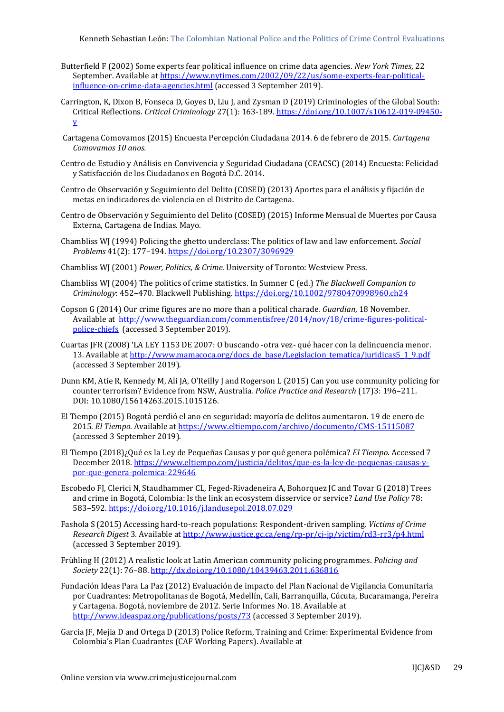Kenneth Sebastian León: The Colombian National Police and the Politics of Crime Control Evaluations

- Butterfield F (2002) Some experts fear political influence on crime data agencies. *New York Times*, 22 September. Available at [https://www.nytimes.com/2002/09/22/us/some-experts-fear-political](https://www.nytimes.com/2002/09/22/us/some-experts-fear-political-influence-on-crime-data-agencies.html)[influence-on-crime-data-agencies.html](https://www.nytimes.com/2002/09/22/us/some-experts-fear-political-influence-on-crime-data-agencies.html) (accessed 3 September 2019).
- Carrington, K, Dixon B, Fonseca D, Goyes D, Liu J, and Zysman D (2019) Criminologies of the Global South: Critical Reflections. *Critical Criminology* 27(1): 163-189. [https://doi.org/10.1007/s10612-019-09450](https://doi.org/10.1007/s10612-019-09450-y) [y](https://doi.org/10.1007/s10612-019-09450-y)
- Cartagena Comovamos (2015) Encuesta Percepción Ciudadana 2014. 6 de febrero de 2015. *Cartagena Comovamos 10 anos.*
- Centro de Estudio y Análisis en Convivencia y Seguridad Ciudadana (CEACSC) (2014) Encuesta: Felicidad y Satisfacción de los Ciudadanos en Bogotá D.C. 2014.
- Centro de Observación y Seguimiento del Delito (COSED) (2013) Aportes para el análisis y fijación de metas en indicadores de violencia en el Distrito de Cartagena.
- Centro de Observación y Seguimiento del Delito (COSED) (2015) Informe Mensual de Muertes por Causa Externa, Cartagena de Indias. Mayo.
- Chambliss WJ (1994) Policing the ghetto underclass: The politics of law and law enforcement. *Social Problems* 41(2): 177–194.<https://doi.org/10.2307/3096929>
- Chambliss WJ (2001) *Power, Politics, & Crime.* University of Toronto: Westview Press.
- Chambliss WJ (2004) The politics of crime statistics. In Sumner C (ed.) *The Blackwell Companion to Criminology*: 452–470. Blackwell Publishing[. https://doi.org/10.1002/9780470998960.ch24](https://doi.org/10.1002/9780470998960.ch24)
- Copson G (2014) Our crime figures are no more than a political charade. *Guardian*, 18 November. Available at [http://www.theguardian.com/commentisfree/2014/nov/18/crime-figures-political](http://www.theguardian.com/commentisfree/2014/nov/18/crime-figures-political-police-chiefs)[police-chiefs](http://www.theguardian.com/commentisfree/2014/nov/18/crime-figures-political-police-chiefs) (accessed 3 September 2019).
- Cuartas JFR (2008) 'LA LEY 1153 DE 2007: O buscando -otra vez- qué hacer con la delincuencia menor. 13. Available at [http://www.mamacoca.org/docs\\_de\\_base/Legislacion\\_tematica/juridicas5\\_1\\_9.pdf](http://www.mamacoca.org/docs_de_base/Legislacion_tematica/juridicas5_1_9.pdf) (accessed 3 September 2019).
- Dunn KM, Atie R, Kennedy M, Ali JA, O'Reilly J and Rogerson L (2015) Can you use community policing for counter terrorism? Evidence from NSW, Australia. *Police Practice and Research* (17)3: 196–211. DOI: 10.1080/15614263.2015.1015126.
- El Tiempo (2015) Bogotá perdió el ano en seguridad: mayoría de delitos aumentaron. 19 de enero de 2015. *El Tiempo.* Available at<https://www.eltiempo.com/archivo/documento/CMS-15115087> (accessed 3 September 2019).
- El Tiempo (2018)¿Qué es la Ley de Pequeñas Causas y por qué genera polémica? *El Tiempo*. Accessed 7 December 2018. [https://www.eltiempo.com/justicia/delitos/que-es-la-ley-de-pequenas-causas-y](https://www.eltiempo.com/justicia/delitos/que-es-la-ley-de-pequenas-causas-y-por-que-genera-polemica-229646)[por-que-genera-polemica-229646](https://www.eltiempo.com/justicia/delitos/que-es-la-ley-de-pequenas-causas-y-por-que-genera-polemica-229646)
- Escobedo FJ, Clerici N, Staudhammer CL, Feged-Rivadeneira A, Bohorquez JC and Tovar G (2018) Trees and crime in Bogotá, Colombia: Is the link an ecosystem disservice or service? *Land Use Policy* 78: 583–592. <https://doi.org/10.1016/j.landusepol.2018.07.029>
- Fashola S (2015) Accessing hard-to-reach populations: Respondent-driven sampling. *Victims of Crime Research Digest* 3*.* Available a[t http://www.justice.gc.ca/eng/rp-pr/cj-jp/victim/rd3-rr3/p4.html](http://www.justice.gc.ca/eng/rp-pr/cj-jp/victim/rd3-rr3/p4.html) (accessed 3 September 2019).
- Frühling H (2012) A realistic look at Latin American community policing programmes. *Policing and Society* 22(1): 76–88. <http://dx.doi.org/10.1080/10439463.2011.636816>
- Fundación Ideas Para La Paz (2012) Evaluación de impacto del Plan Nacional de Vigilancia Comunitaria por Cuadrantes: Metropolitanas de Bogotá, Medellín, Cali, Barranquilla, Cúcuta, Bucaramanga, Pereira y Cartagena. Bogotá, noviembre de 2012. Serie Informes No. 18. Available at <http://www.ideaspaz.org/publications/posts/73> (accessed 3 September 2019).
- Garcia JF, Mejia D and Ortega D (2013) Police Reform, Training and Crime: Experimental Evidence from Colombia's Plan Cuadrantes (CAF Working Papers). Available at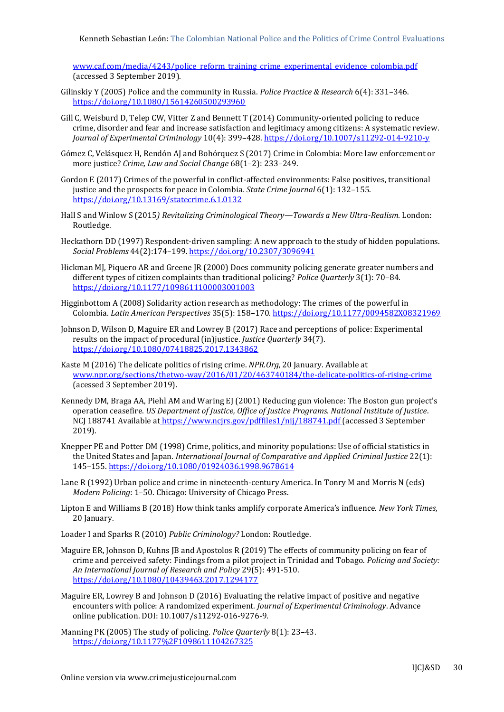Kenneth Sebastian León: The Colombian National Police and the Politics of Crime Control Evaluations

[www.caf.com/media/4243/police\\_reform\\_training\\_crime\\_experimental\\_evidence\\_colombia.pdf](http://www.caf.com/media/4243/police_reform_training_crime_experimental_evidence_colombia.pdf) (accessed 3 September 2019).

- Gilinskiy Y (2005) Police and the community in Russia. *Police Practice & Research* 6(4): 331–346. <https://doi.org/10.1080/15614260500293960>
- Gill C, Weisburd D, Telep CW, Vitter Z and Bennett T (2014) Community-oriented policing to reduce crime, disorder and fear and increase satisfaction and legitimacy among citizens: A systematic review. *Journal of Experimental Criminology* 10(4): 399–428. <https://doi.org/10.1007/s11292-014-9210-y>
- Gómez C, Velásquez H, Rendón AJ and Bohórquez S (2017) Crime in Colombia: More law enforcement or more justice? *Crime, Law and Social Change* 68(1–2): 233–249.
- Gordon E (2017) Crimes of the powerful in conflict-affected environments: False positives, transitional justice and the prospects for peace in Colombia. *State Crime Journal* 6(1): 132–155. <https://doi.org/10.13169/statecrime.6.1.0132>
- Hall S and Winlow S (2015*) Revitalizing Criminological Theory—Towards a New Ultra-Realism.* London: Routledge.
- Heckathorn DD (1997) Respondent-driven sampling: A new approach to the study of hidden populations. *Social Problems* 44(2):174–199. <https://doi.org/10.2307/3096941>
- Hickman MJ, Piquero AR and Greene JR (2000) Does community policing generate greater numbers and different types of citizen complaints than traditional policing? *Police Quarterly* 3(1): 70–84. <https://doi.org/10.1177/1098611100003001003>
- Higginbottom A (2008) Solidarity action research as methodology: The crimes of the powerful in Colombia. *Latin American Perspectives* 35(5): 158–170[. https://doi.org/10.1177/0094582X08321969](https://doi.org/10.1177/0094582X08321969)
- Johnson D, Wilson D, Maguire ER and Lowrey B (2017) Race and perceptions of police: Experimental results on the impact of procedural (in)justice. *Justice Quarterly* 34(7). <https://doi.org/10.1080/07418825.2017.1343862>
- Kaste M (2016) The delicate politics of rising crime. *NPR.Org*, 20 January. Available at [www.npr.org/sections/thetwo-way/2016/01/20/463740184/the-delicate-politics-of-rising-crime](http://www.npr.org/sections/thetwo-way/2016/01/20/463740184/the-delicate-politics-of-rising-crime) (acessed 3 September 2019).
- Kennedy DM, Braga AA, Piehl AM and Waring EJ (2001) Reducing gun violence: The Boston gun project's operation ceasefire. *US Department of Justice, Office of Justice Programs. National Institute of Justice*. NCJ 188741 Available at [https://www.ncjrs.gov/pdffiles1/nij/188741.pdf \(accessed 3 September](file:///C:/Users/creaght/Dropbox/IJCJ&SD/2019%20Issues/Vol%208(4)%20GI/Layout/Available%20at%20https:/www.ncjrs.gov/pdffiles1/nij/188741.pdf%20(accessed%203%20September%202019))  [2019\).](file:///C:/Users/creaght/Dropbox/IJCJ&SD/2019%20Issues/Vol%208(4)%20GI/Layout/Available%20at%20https:/www.ncjrs.gov/pdffiles1/nij/188741.pdf%20(accessed%203%20September%202019))
- Knepper PE and Potter DM (1998) Crime, politics, and minority populations: Use of official statistics in the United States and Japan. *International Journal of Comparative and Applied Criminal Justice* 22(1): 145–155. <https://doi.org/10.1080/01924036.1998.9678614>
- Lane R (1992) Urban police and crime in nineteenth-century America. In Tonry M and Morris N (eds) *Modern Policing*: 1–50. Chicago: University of Chicago Press.
- Lipton E and Williams B (2018) How think tanks amplify corporate America's influence. *New York Times*, 20 January.

Loader I and Sparks R (2010) *Public Criminology?* London: Routledge.

- Maguire ER, Johnson D, Kuhns JB and Apostolos R (2019) The effects of community policing on fear of crime and perceived safety: Findings from a pilot project in Trinidad and Tobago. *Policing and Society: An International Journal of Research and Policy* 29(5): 491-510. <https://doi.org/10.1080/10439463.2017.1294177>
- Maguire ER, Lowrey B and Johnson D (2016) Evaluating the relative impact of positive and negative encounters with police: A randomized experiment. *Journal of Experimental Criminology*. Advance online publication. DOI: 10.1007/s11292-016-9276-9.
- Manning PK (2005) The study of policing. *Police Quarterly* 8(1): 23–43. <https://doi.org/10.1177%2F1098611104267325>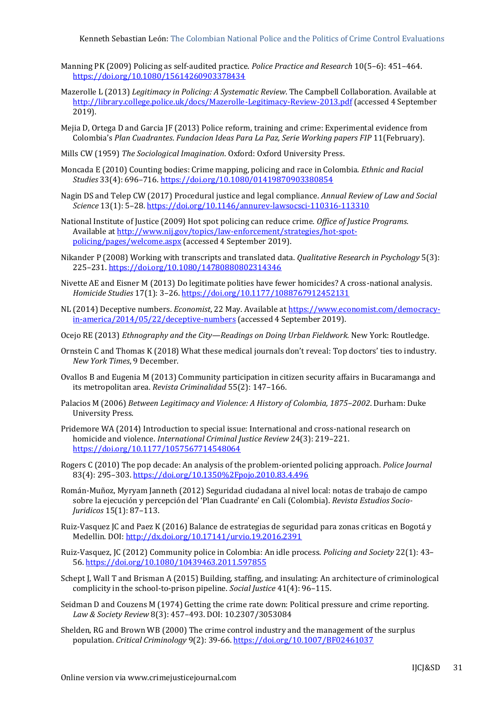- Manning PK (2009) Policing as self‐audited practice. *Police Practice and Research* 10(5–6): 451–464. <https://doi.org/10.1080/15614260903378434>
- Mazerolle L (2013) *Legitimacy in Policing: A Systematic Review*. The Campbell Collaboration. Available at <http://library.college.police.uk/docs/Mazerolle-Legitimacy-Review-2013.pdf> (accessed 4 September 2019).
- Mejia D, Ortega D and Garcia JF (2013) Police reform, training and crime: Experimental evidence from Colombia's *Plan Cuadrantes*. *Fundacion Ideas Para La Paz, Serie Working papers FIP* 11(February).
- Mills CW (1959) *The Sociological Imagination*. Oxford: Oxford University Press.
- Moncada E (2010) Counting bodies: Crime mapping, policing and race in Colombia. *Ethnic and Racial Studies* 33(4): 696–716.<https://doi.org/10.1080/01419870903380854>
- Nagin DS and Telep CW (2017) Procedural justice and legal compliance. *Annual Review of Law and Social Science* 13(1): 5–28. <https://doi.org/10.1146/annurev-lawsocsci-110316-113310>
- National Institute of Justice (2009) Hot spot policing can reduce crime. *Office of Justice Programs*. Available at [http://www.nij.gov/topics/law-enforcement/strategies/hot-spot](http://www.nij.gov/topics/law-enforcement/strategies/hot-spot-policing/pages/welcome.aspx)[policing/pages/welcome.aspx](http://www.nij.gov/topics/law-enforcement/strategies/hot-spot-policing/pages/welcome.aspx) (accessed 4 September 2019).
- Nikander P (2008) Working with transcripts and translated data. *Qualitative Research in Psychology* 5(3): 225–231. <https://doi.org/10.1080/14780880802314346>
- Nivette AE and Eisner M (2013) Do legitimate polities have fewer homicides? A cross-national analysis. *Homicide Studies* 17(1): 3–26.<https://doi.org/10.1177/1088767912452131>
- NL (2014) Deceptive numbers. *Economist*, 22 May. Available at [https://www.economist.com/democracy](https://www.economist.com/democracy-in-america/2014/05/22/deceptive-numbers)[in-america/2014/05/22/deceptive-numbers](https://www.economist.com/democracy-in-america/2014/05/22/deceptive-numbers) (accessed 4 September 2019).
- Ocejo RE (2013) *Ethnography and the City—Readings on Doing Urban Fieldwork.* New York: Routledge.
- Ornstein C and Thomas K (2018) What these medical journals don't reveal: Top doctors' ties to industry. *New York Times*, 9 December.
- Ovallos B and Eugenia M (2013) Community participation in citizen security affairs in Bucaramanga and its metropolitan area. *Revista Criminalidad* 55(2): 147–166.
- Palacios M (2006) *Between Legitimacy and Violence: A History of Colombia, 1875–2002*. Durham: Duke University Press.
- Pridemore WA (2014) Introduction to special issue: International and cross-national research on homicide and violence. *International Criminal Justice Review* 24(3): 219–221. <https://doi.org/10.1177/1057567714548064>
- Rogers C (2010) The pop decade: An analysis of the problem-oriented policing approach. *Police Journal* 83(4): 295–303. <https://doi.org/10.1350%2Fpojo.2010.83.4.496>
- Román-Muñoz, Myryam Janneth (2012) Seguridad ciudadana al nivel local: notas de trabajo de campo sobre la ejecución y percepción del 'Plan Cuadrante' en Cali (Colombia). *Revista Estudios Socio-Juridicos* 15(1): 87–113.
- Ruiz-Vasquez JC and Paez K (2016) Balance de estrategias de seguridad para zonas criticas en Bogotá y Medellin. DOI:<http://dx.doi.org/10.17141/urvio.19.2016.2391>
- Ruiz-Vasquez, JC (2012) Community police in Colombia: An idle process. *Policing and Society* 22(1): 43– 56. <https://doi.org/10.1080/10439463.2011.597855>
- Schept J, Wall T and Brisman A (2015) Building, staffing, and insulating: An architecture of criminological complicity in the school-to-prison pipeline. *Social Justice* 41(4): 96–115.
- Seidman D and Couzens M (1974) Getting the crime rate down: Political pressure and crime reporting. *Law & Society Review* 8(3): 457–493. DOI: 10.2307/3053084
- Shelden, RG and Brown WB (2000) The crime control industry and the management of the surplus population. *Critical Criminology* 9(2): 39-66.<https://doi.org/10.1007/BF02461037>